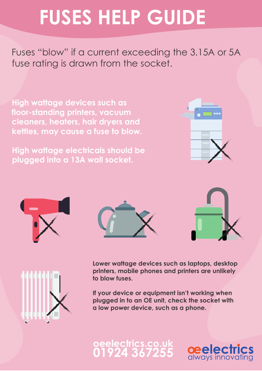## **FUSES HELP GUIDE**

Fuses "blow" if a current exceeding the 3.15A or 5A fuse rating is drawn from the socket.

**High wattage devices such as floor-standing printers, vacuum cleaners, heaters, hair dryers and kettles, may cause a fuse to blow.**

**High wattage electricals should be plugged into a 13A wall socket.**











**Lower wattage devices such as laptops, desktop printers, mobile phones and printers are unlikely to blow fuses.** 

**If your device or equipment isn't working when plugged in to an OE unit, check the socket with a low power device, such as a phone.**

## **oeelectrics.co.uk 01924 367255**